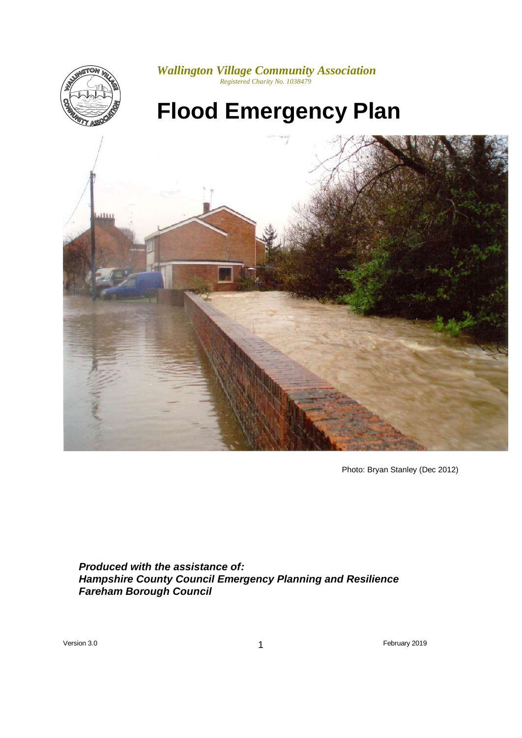



# **Flood Emergency Plan**



Photo: Bryan Stanley (Dec 2012)

*Produced with the assistance of: Hampshire County Council Emergency Planning and Resilience Fareham Borough Council*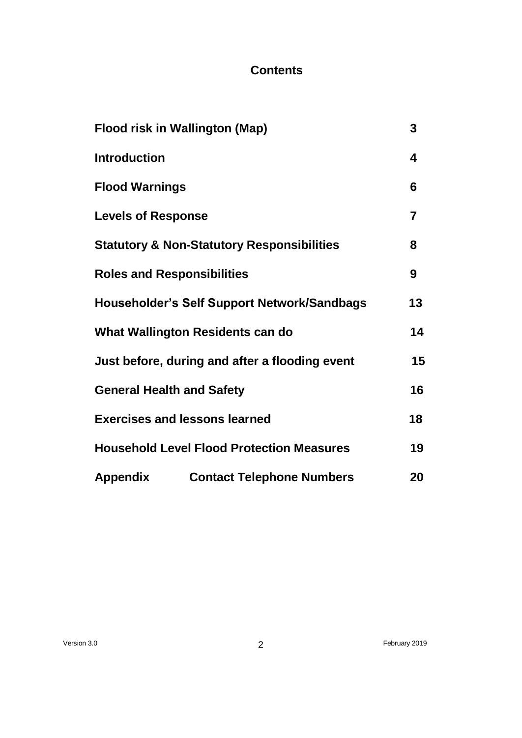# **Contents**

| Flood risk in Wallington (Map)                        | 3              |
|-------------------------------------------------------|----------------|
| <b>Introduction</b>                                   | 4              |
| <b>Flood Warnings</b>                                 | 6              |
| <b>Levels of Response</b>                             | $\overline{7}$ |
| <b>Statutory &amp; Non-Statutory Responsibilities</b> | 8              |
| <b>Roles and Responsibilities</b>                     | 9              |
| Householder's Self Support Network/Sandbags           | 13             |
| What Wallington Residents can do                      | 14             |
| Just before, during and after a flooding event        | 15             |
| <b>General Health and Safety</b>                      | 16             |
| <b>Exercises and lessons learned</b>                  | 18             |
| <b>Household Level Flood Protection Measures</b>      | 19             |
| <b>Contact Telephone Numbers</b><br><b>Appendix</b>   | 20             |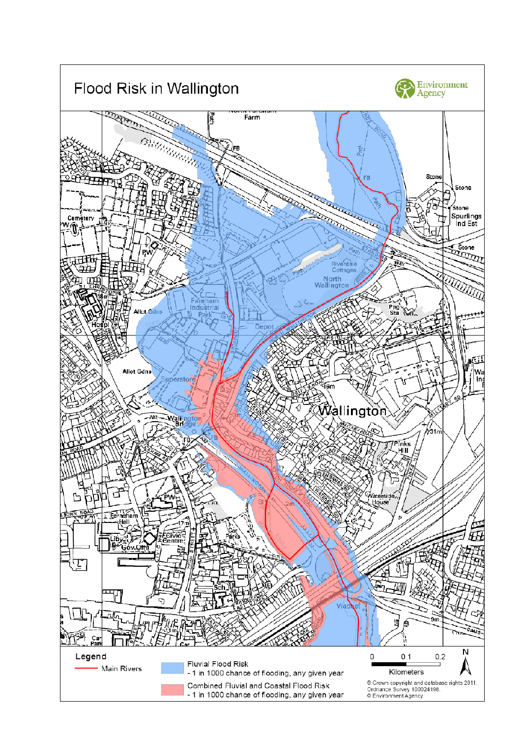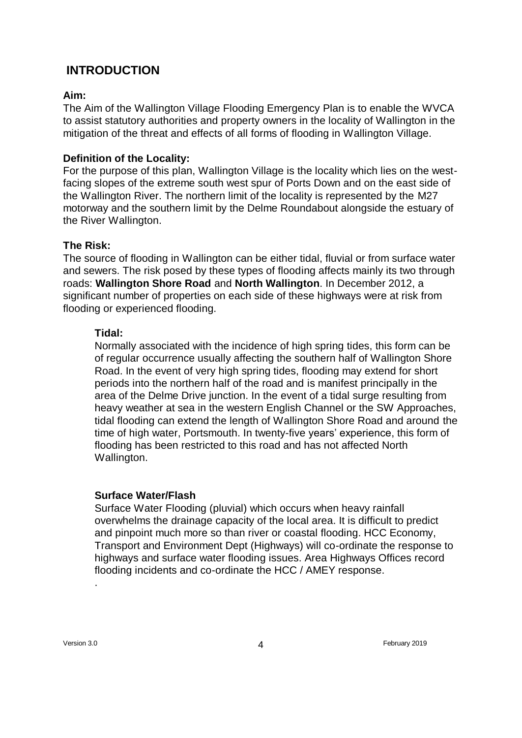# **INTRODUCTION**

### **Aim:**

The Aim of the Wallington Village Flooding Emergency Plan is to enable the WVCA to assist statutory authorities and property owners in the locality of Wallington in the mitigation of the threat and effects of all forms of flooding in Wallington Village.

### **Definition of the Locality:**

For the purpose of this plan, Wallington Village is the locality which lies on the westfacing slopes of the extreme south west spur of Ports Down and on the east side of the Wallington River. The northern limit of the locality is represented by the M27 motorway and the southern limit by the Delme Roundabout alongside the estuary of the River Wallington.

### **The Risk:**

The source of flooding in Wallington can be either tidal, fluvial or from surface water and sewers. The risk posed by these types of flooding affects mainly its two through roads: **Wallington Shore Road** and **North Wallington**. In December 2012, a significant number of properties on each side of these highways were at risk from flooding or experienced flooding.

### **Tidal:**

Normally associated with the incidence of high spring tides, this form can be of regular occurrence usually affecting the southern half of Wallington Shore Road. In the event of very high spring tides, flooding may extend for short periods into the northern half of the road and is manifest principally in the area of the Delme Drive junction. In the event of a tidal surge resulting from heavy weather at sea in the western English Channel or the SW Approaches, tidal flooding can extend the length of Wallington Shore Road and around the time of high water, Portsmouth. In twenty-five years' experience, this form of flooding has been restricted to this road and has not affected North Wallington.

### **Surface Water/Flash**

Surface Water Flooding (pluvial) which occurs when heavy rainfall overwhelms the drainage capacity of the local area. It is difficult to predict and pinpoint much more so than river or coastal flooding. HCC Economy, Transport and Environment Dept (Highways) will co-ordinate the response to highways and surface water flooding issues. Area Highways Offices record flooding incidents and co-ordinate the HCC / AMEY response.

.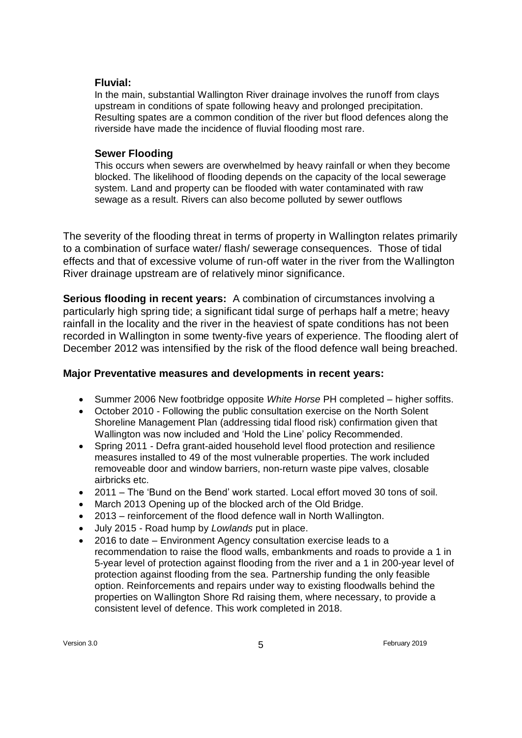#### **Fluvial:**

In the main, substantial Wallington River drainage involves the runoff from clays upstream in conditions of spate following heavy and prolonged precipitation. Resulting spates are a common condition of the river but flood defences along the riverside have made the incidence of fluvial flooding most rare.

#### **Sewer Flooding**

This occurs when sewers are overwhelmed by heavy rainfall or when they become blocked. The likelihood of flooding depends on the capacity of the local sewerage system. Land and property can be flooded with water contaminated with raw sewage as a result. Rivers can also become polluted by sewer outflows

The severity of the flooding threat in terms of property in Wallington relates primarily to a combination of surface water/ flash/ sewerage consequences. Those of tidal effects and that of excessive volume of run-off water in the river from the Wallington River drainage upstream are of relatively minor significance.

**Serious flooding in recent years:** A combination of circumstances involving a particularly high spring tide; a significant tidal surge of perhaps half a metre; heavy rainfall in the locality and the river in the heaviest of spate conditions has not been recorded in Wallington in some twenty-five years of experience. The flooding alert of December 2012 was intensified by the risk of the flood defence wall being breached.

#### **Major Preventative measures and developments in recent years:**

- Summer 2006 New footbridge opposite *White Horse* PH completed higher soffits.
- October 2010 Following the public consultation exercise on the North Solent Shoreline Management Plan (addressing tidal flood risk) confirmation given that Wallington was now included and 'Hold the Line' policy Recommended.
- Spring 2011 Defra grant-aided household level flood protection and resilience measures installed to 49 of the most vulnerable properties. The work included removeable door and window barriers, non-return waste pipe valves, closable airbricks etc.
- 2011 The 'Bund on the Bend' work started. Local effort moved 30 tons of soil.
- March 2013 Opening up of the blocked arch of the Old Bridge.
- 2013 reinforcement of the flood defence wall in North Wallington.
- July 2015 Road hump by *Lowlands* put in place.
- 2016 to date Environment Agency consultation exercise leads to a recommendation to raise the flood walls, embankments and roads to provide a 1 in 5-year level of protection against flooding from the river and a 1 in 200-year level of protection against flooding from the sea. Partnership funding the only feasible option. Reinforcements and repairs under way to existing floodwalls behind the properties on Wallington Shore Rd raising them, where necessary, to provide a consistent level of defence. This work completed in 2018.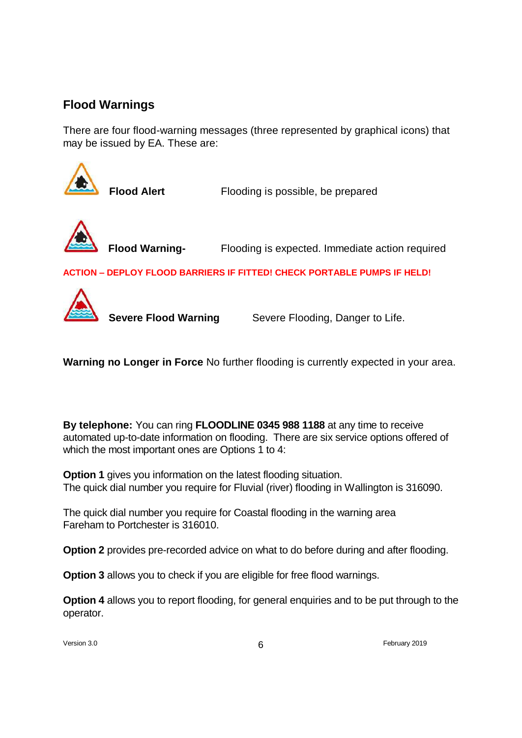# **Flood Warnings**

There are four flood-warning messages (three represented by graphical icons) that may be issued by EA. These are:





**Flood Warning-** Flooding is expected. Immediate action required

**ACTION – DEPLOY FLOOD BARRIERS IF FITTED! CHECK PORTABLE PUMPS IF HELD!**



**Severe Flood Warning Severe Flooding, Danger to Life.** 

**Warning no Longer in Force** No further flooding is currently expected in your area.

**By telephone:** You can ring **FLOODLINE 0345 988 1188** at any time to receive automated up-to-date information on flooding. There are six service options offered of which the most important ones are Options 1 to 4:

**Option 1** gives you information on the latest flooding situation. The quick dial number you require for Fluvial (river) flooding in Wallington is 316090.

The quick dial number you require for Coastal flooding in the warning area Fareham to Portchester is 316010.

**Option 2** provides pre-recorded advice on what to do before during and after flooding.

**Option 3** allows you to check if you are eligible for free flood warnings.

**Option 4** allows you to report flooding, for general enquiries and to be put through to the operator.

Version 3.0  $6$  February 2019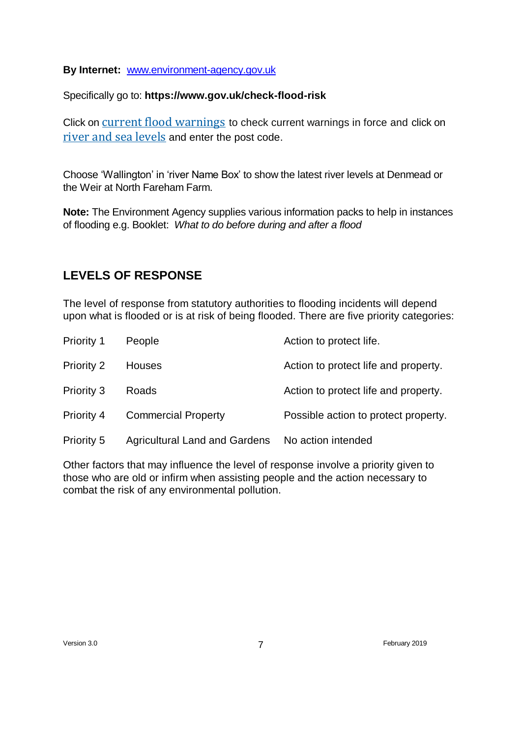#### **By Internet:** [www.environment-agency.gov.uk](http://www.environment-agency.gov.uk/)

Specifically go to: **https://www.gov.uk/check-flood-risk**

Click on current flood [warnings](https://flood-warning-information.service.gov.uk/) to check current warnings in force and click on river and sea [levels](https://flood-warning-information.service.gov.uk/river-and-sea-levels) and enter the post code.

Choose 'Wallington' in 'river Name Box' to show the latest river levels at Denmead or the Weir at North Fareham Farm.

**Note:** The Environment Agency supplies various information packs to help in instances of flooding e.g. Booklet: *What to do before during and after a flood*

# **LEVELS OF RESPONSE**

The level of response from statutory authorities to flooding incidents will depend upon what is flooded or is at risk of being flooded. There are five priority categories:

| <b>Priority 1</b> | People                               | Action to protect life.              |
|-------------------|--------------------------------------|--------------------------------------|
| <b>Priority 2</b> | Houses                               | Action to protect life and property. |
| <b>Priority 3</b> | Roads                                | Action to protect life and property. |
| <b>Priority 4</b> | <b>Commercial Property</b>           | Possible action to protect property. |
| <b>Priority 5</b> | <b>Agricultural Land and Gardens</b> | No action intended                   |

Other factors that may influence the level of response involve a priority given to those who are old or infirm when assisting people and the action necessary to combat the risk of any environmental pollution.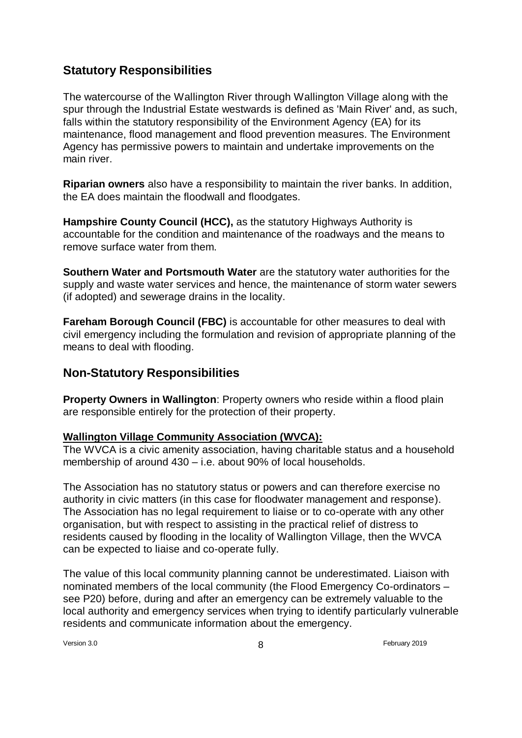# **Statutory Responsibilities**

The watercourse of the Wallington River through Wallington Village along with the spur through the Industrial Estate westwards is defined as 'Main River' and, as such, falls within the statutory responsibility of the Environment Agency (EA) for its maintenance, flood management and flood prevention measures. The Environment Agency has permissive powers to maintain and undertake improvements on the main river.

**Riparian owners** also have a responsibility to maintain the river banks. In addition, the EA does maintain the floodwall and floodgates.

**Hampshire County Council (HCC),** as the statutory Highways Authority is accountable for the condition and maintenance of the roadways and the means to remove surface water from them.

**Southern Water and Portsmouth Water** are the statutory water authorities for the supply and waste water services and hence, the maintenance of storm water sewers (if adopted) and sewerage drains in the locality.

**Fareham Borough Council (FBC)** is accountable for other measures to deal with civil emergency including the formulation and revision of appropriate planning of the means to deal with flooding.

# **Non-Statutory Responsibilities**

**Property Owners in Wallington: Property owners who reside within a flood plain** are responsible entirely for the protection of their property.

## **Wallington Village Community Association (WVCA):**

The WVCA is a civic amenity association, having charitable status and a household membership of around 430 – i.e. about 90% of local households.

The Association has no statutory status or powers and can therefore exercise no authority in civic matters (in this case for floodwater management and response). The Association has no legal requirement to liaise or to co-operate with any other organisation, but with respect to assisting in the practical relief of distress to residents caused by flooding in the locality of Wallington Village, then the WVCA can be expected to liaise and co-operate fully.

The value of this local community planning cannot be underestimated. Liaison with nominated members of the local community (the Flood Emergency Co-ordinators – see P20) before, during and after an emergency can be extremely valuable to the local authority and emergency services when trying to identify particularly vulnerable residents and communicate information about the emergency.

Version 3.0 8 February 2019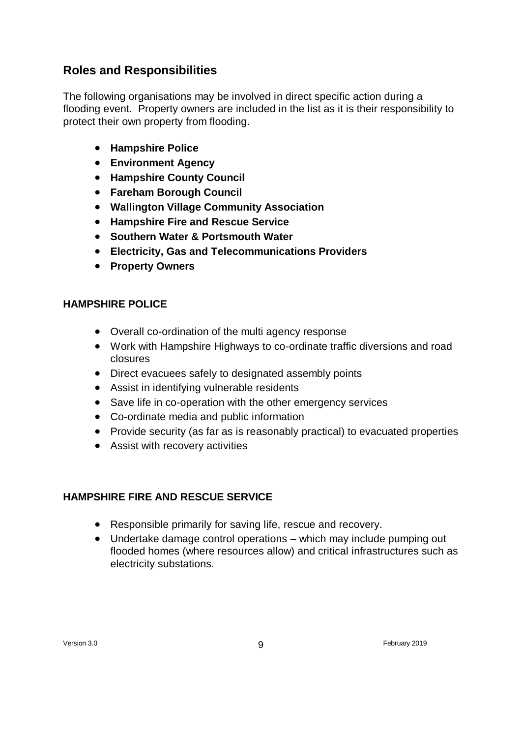# **Roles and Responsibilities**

The following organisations may be involved in direct specific action during a flooding event. Property owners are included in the list as it is their responsibility to protect their own property from flooding.

- **Hampshire Police**
- **Environment Agency**
- **Hampshire County Council**
- **Fareham Borough Council**
- **Wallington Village Community Association**
- **Hampshire Fire and Rescue Service**
- **Southern Water & Portsmouth Water**
- **Electricity, Gas and Telecommunications Providers**
- **Property Owners**

## **HAMPSHIRE POLICE**

- Overall co-ordination of the multi agency response
- Work with Hampshire Highways to co-ordinate traffic diversions and road closures
- Direct evacuees safely to designated assembly points
- Assist in identifying vulnerable residents
- Save life in co-operation with the other emergency services
- Co-ordinate media and public information
- Provide security (as far as is reasonably practical) to evacuated properties
- Assist with recovery activities

## **HAMPSHIRE FIRE AND RESCUE SERVICE**

- Responsible primarily for saving life, rescue and recovery.
- Undertake damage control operations which may include pumping out flooded homes (where resources allow) and critical infrastructures such as electricity substations.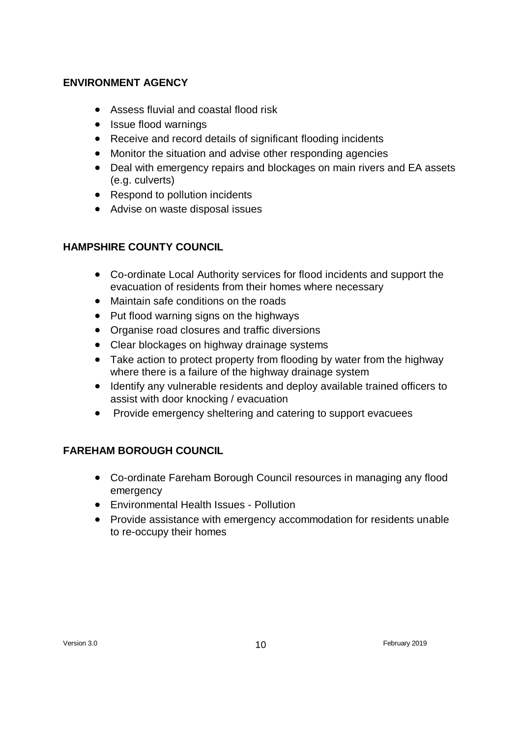## **ENVIRONMENT AGENCY**

- Assess fluvial and coastal flood risk
- Issue flood warnings
- Receive and record details of significant flooding incidents
- Monitor the situation and advise other responding agencies
- Deal with emergency repairs and blockages on main rivers and EA assets (e.g. culverts)
- Respond to pollution incidents
- Advise on waste disposal issues

# **HAMPSHIRE COUNTY COUNCIL**

- Co-ordinate Local Authority services for flood incidents and support the evacuation of residents from their homes where necessary
- Maintain safe conditions on the roads
- Put flood warning signs on the highways
- Organise road closures and traffic diversions
- Clear blockages on highway drainage systems
- Take action to protect property from flooding by water from the highway where there is a failure of the highway drainage system
- Identify any vulnerable residents and deploy available trained officers to assist with door knocking / evacuation
- Provide emergency sheltering and catering to support evacuees

# **FAREHAM BOROUGH COUNCIL**

- Co-ordinate Fareham Borough Council resources in managing any flood emergency
- Environmental Health Issues Pollution
- Provide assistance with emergency accommodation for residents unable to re-occupy their homes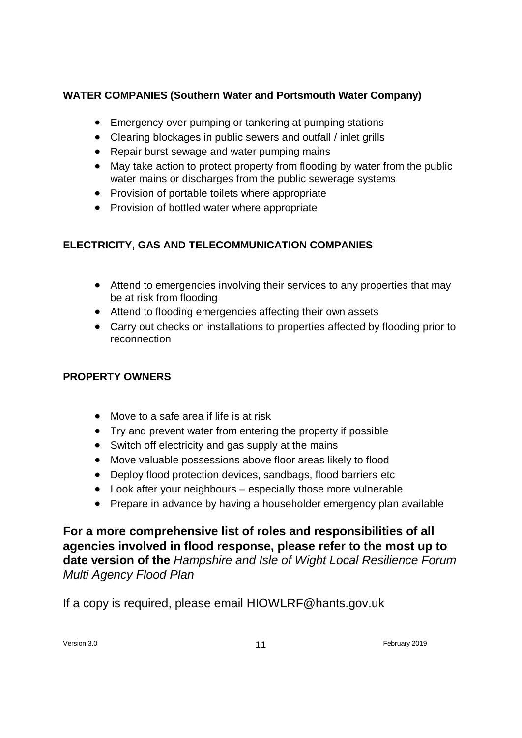# **WATER COMPANIES (Southern Water and Portsmouth Water Company)**

- Emergency over pumping or tankering at pumping stations
- Clearing blockages in public sewers and outfall / inlet grills
- Repair burst sewage and water pumping mains
- May take action to protect property from flooding by water from the public water mains or discharges from the public sewerage systems
- Provision of portable toilets where appropriate
- Provision of bottled water where appropriate

# **ELECTRICITY, GAS AND TELECOMMUNICATION COMPANIES**

- Attend to emergencies involving their services to any properties that may be at risk from flooding
- Attend to flooding emergencies affecting their own assets
- Carry out checks on installations to properties affected by flooding prior to reconnection

## **PROPERTY OWNERS**

- Move to a safe area if life is at risk
- Try and prevent water from entering the property if possible
- Switch off electricity and gas supply at the mains
- Move valuable possessions above floor areas likely to flood
- Deploy flood protection devices, sandbags, flood barriers etc
- Look after your neighbours especially those more vulnerable
- Prepare in advance by having a householder emergency plan available

**For a more comprehensive list of roles and responsibilities of all agencies involved in flood response, please refer to the most up to date version of the** *Hampshire and Isle of Wight Local Resilience Forum Multi Agency Flood Plan*

If a copy is required, please email HIOWLRF@hants.gov.uk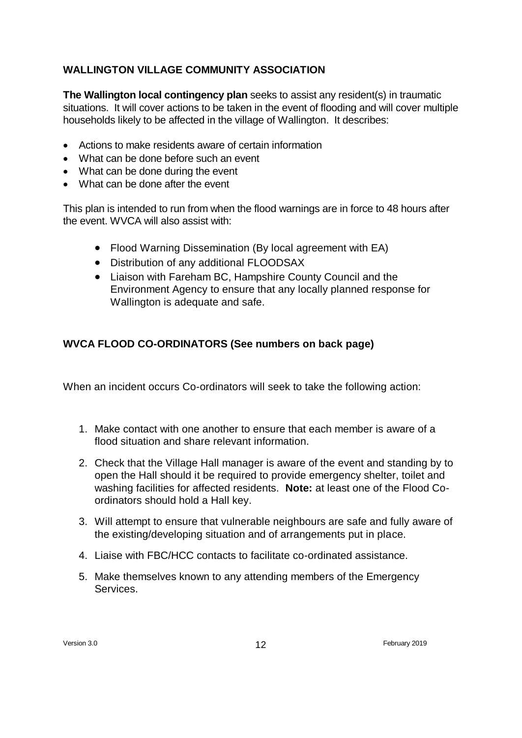# **WALLINGTON VILLAGE COMMUNITY ASSOCIATION**

**The Wallington local contingency plan** seeks to assist any resident(s) in traumatic situations. It will cover actions to be taken in the event of flooding and will cover multiple households likely to be affected in the village of Wallington. It describes:

- Actions to make residents aware of certain information
- What can be done before such an event
- What can be done during the event
- What can be done after the event

This plan is intended to run from when the flood warnings are in force to 48 hours after the event. WVCA will also assist with:

- Flood Warning Dissemination (By local agreement with EA)
- Distribution of any additional FLOODSAX
- Liaison with Fareham BC, Hampshire County Council and the Environment Agency to ensure that any locally planned response for Wallington is adequate and safe.

# **WVCA FLOOD CO-ORDINATORS (See numbers on back page)**

When an incident occurs Co-ordinators will seek to take the following action:

- 1. Make contact with one another to ensure that each member is aware of a flood situation and share relevant information.
- 2. Check that the Village Hall manager is aware of the event and standing by to open the Hall should it be required to provide emergency shelter, toilet and washing facilities for affected residents. **Note:** at least one of the Flood Coordinators should hold a Hall key.
- 3. Will attempt to ensure that vulnerable neighbours are safe and fully aware of the existing/developing situation and of arrangements put in place.
- 4. Liaise with FBC/HCC contacts to facilitate co-ordinated assistance.
- 5. Make themselves known to any attending members of the Emergency Services.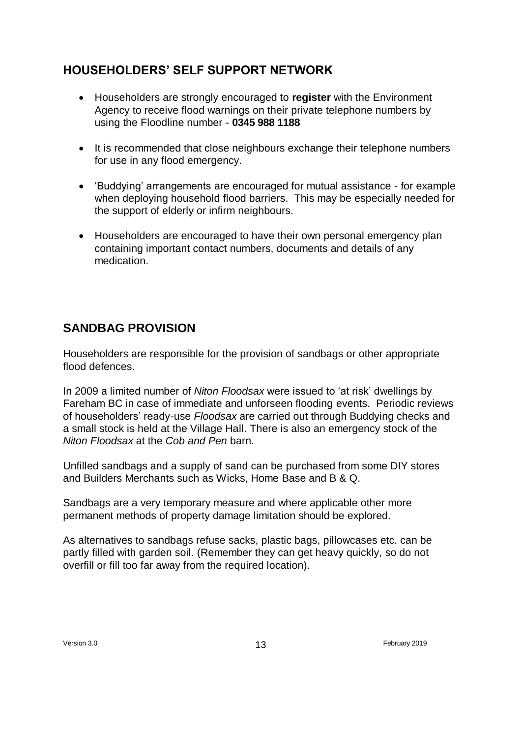# **HOUSEHOLDERS' SELF SUPPORT NETWORK**

- Householders are strongly encouraged to **register** with the Environment Agency to receive flood warnings on their private telephone numbers by using the Floodline number - **0345 988 1188**
- It is recommended that close neighbours exchange their telephone numbers for use in any flood emergency.
- 'Buddying' arrangements are encouraged for mutual assistance for example when deploying household flood barriers. This may be especially needed for the support of elderly or infirm neighbours.
- Householders are encouraged to have their own personal emergency plan containing important contact numbers, documents and details of any medication.

# **SANDBAG PROVISION**

Householders are responsible for the provision of sandbags or other appropriate flood defences.

In 2009 a limited number of *Niton Floodsax* were issued to 'at risk' dwellings by Fareham BC in case of immediate and unforseen flooding events. Periodic reviews of householders' ready-use *Floodsax* are carried out through Buddying checks and a small stock is held at the Village Hall. There is also an emergency stock of the *Niton Floodsax* at the *Cob and Pen* barn.

Unfilled sandbags and a supply of sand can be purchased from some DIY stores and Builders Merchants such as Wicks, Home Base and B & Q.

Sandbags are a very temporary measure and where applicable other more permanent methods of property damage limitation should be explored.

As alternatives to sandbags refuse sacks, plastic bags, pillowcases etc. can be partly filled with garden soil. (Remember they can get heavy quickly, so do not overfill or fill too far away from the required location).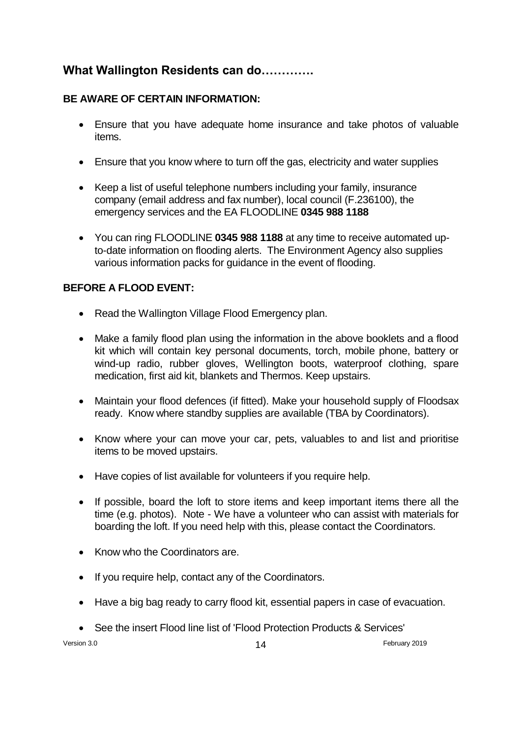# **What Wallington Residents can do………….**

# **BE AWARE OF CERTAIN INFORMATION:**

- Ensure that you have adequate home insurance and take photos of valuable items.
- Ensure that you know where to turn off the gas, electricity and water supplies
- Keep a list of useful telephone numbers including your family, insurance company (email address and fax number), local council (F.236100), the emergency services and the EA FLOODLINE **0345 988 1188**
- You can ring FLOODLINE **0345 988 1188** at any time to receive automated upto-date information on flooding alerts. The Environment Agency also supplies various information packs for guidance in the event of flooding.

# **BEFORE A FLOOD EVENT:**

- Read the Wallington Village Flood Emergency plan.
- Make a family flood plan using the information in the above booklets and a flood kit which will contain key personal documents, torch, mobile phone, battery or wind-up radio, rubber gloves, Wellington boots, waterproof clothing, spare medication, first aid kit, blankets and Thermos. Keep upstairs.
- Maintain your flood defences (if fitted). Make your household supply of Floodsax ready. Know where standby supplies are available (TBA by Coordinators).
- Know where your can move your car, pets, valuables to and list and prioritise items to be moved upstairs.
- Have copies of list available for volunteers if you require help.
- If possible, board the loft to store items and keep important items there all the time (e.g. photos). Note - We have a volunteer who can assist with materials for boarding the loft. If you need help with this, please contact the Coordinators.
- Know who the Coordinators are.
- If you require help, contact any of the Coordinators.
- Have a big bag ready to carry flood kit, essential papers in case of evacuation.
- See the insert Flood line list of 'Flood Protection Products & Services'

 $V$ ersion 3.0 February 2019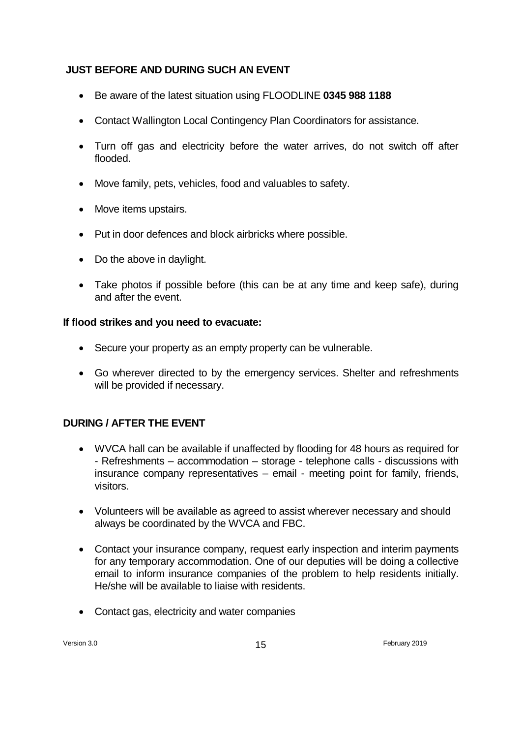## **JUST BEFORE AND DURING SUCH AN EVENT**

- Be aware of the latest situation using FLOODLINE **0345 988 1188**
- Contact Wallington Local Contingency Plan Coordinators for assistance.
- Turn off gas and electricity before the water arrives, do not switch off after flooded.
- Move family, pets, vehicles, food and valuables to safety.
- Move items upstairs.
- Put in door defences and block airbricks where possible.
- Do the above in daylight.
- Take photos if possible before (this can be at any time and keep safe), during and after the event.

## **If flood strikes and you need to evacuate:**

- Secure your property as an empty property can be vulnerable.
- Go wherever directed to by the emergency services. Shelter and refreshments will be provided if necessary.

## **DURING / AFTER THE EVENT**

- WVCA hall can be available if unaffected by flooding for 48 hours as required for - Refreshments – accommodation – storage - telephone calls - discussions with insurance company representatives – email - meeting point for family, friends, visitors.
- Volunteers will be available as agreed to assist wherever necessary and should always be coordinated by the WVCA and FBC.
- Contact your insurance company, request early inspection and interim payments for any temporary accommodation. One of our deputies will be doing a collective email to inform insurance companies of the problem to help residents initially. He/she will be available to liaise with residents.
- Contact gas, electricity and water companies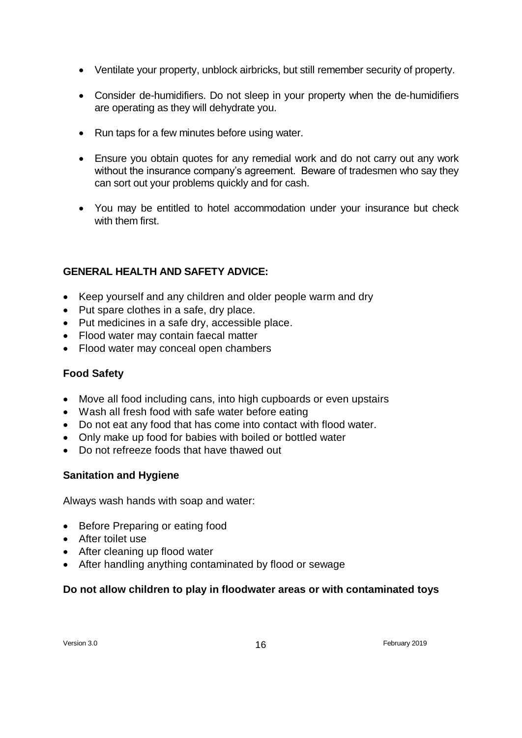- Ventilate your property, unblock airbricks, but still remember security of property.
- Consider de-humidifiers. Do not sleep in your property when the de-humidifiers are operating as they will dehydrate you.
- Run taps for a few minutes before using water.
- Ensure you obtain quotes for any remedial work and do not carry out any work without the insurance company's agreement. Beware of tradesmen who say they can sort out your problems quickly and for cash.
- You may be entitled to hotel accommodation under your insurance but check with them first.

## **GENERAL HEALTH AND SAFETY ADVICE:**

- Keep yourself and any children and older people warm and dry
- Put spare clothes in a safe, dry place.
- Put medicines in a safe dry, accessible place.
- Flood water may contain faecal matter
- Flood water may conceal open chambers

### **Food Safety**

- Move all food including cans, into high cupboards or even upstairs
- Wash all fresh food with safe water before eating
- Do not eat any food that has come into contact with flood water.
- Only make up food for babies with boiled or bottled water
- Do not refreeze foods that have thawed out

## **Sanitation and Hygiene**

Always wash hands with soap and water:

- Before Preparing or eating food
- After toilet use
- After cleaning up flood water
- After handling anything contaminated by flood or sewage

## **Do not allow children to play in floodwater areas or with contaminated toys**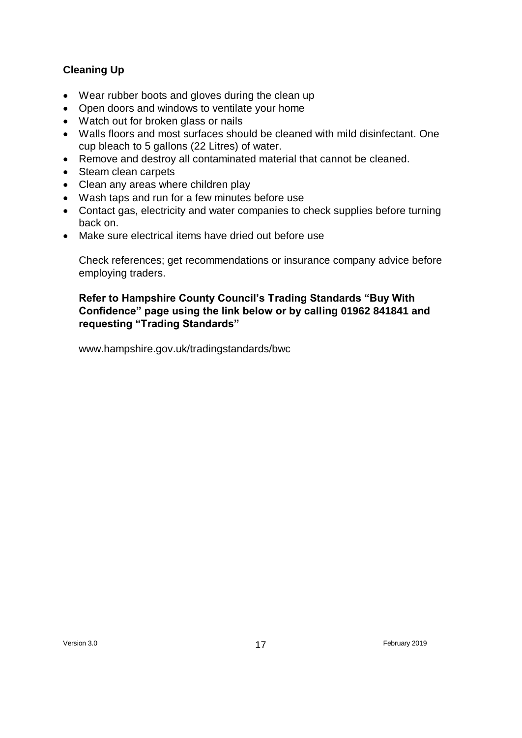# **Cleaning Up**

- Wear rubber boots and gloves during the clean up
- Open doors and windows to ventilate your home
- Watch out for broken glass or nails
- Walls floors and most surfaces should be cleaned with mild disinfectant. One cup bleach to 5 gallons (22 Litres) of water.
- Remove and destroy all contaminated material that cannot be cleaned.
- Steam clean carpets
- Clean any areas where children play
- Wash taps and run for a few minutes before use
- Contact gas, electricity and water companies to check supplies before turning back on.
- Make sure electrical items have dried out before use

Check references; get recommendations or insurance company advice before employing traders.

### **Refer to Hampshire County Council's Trading Standards "Buy With Confidence" page using the link below or by calling 01962 841841 and requesting "Trading Standards"**

www.hampshire.gov.uk/tradingstandards/bwc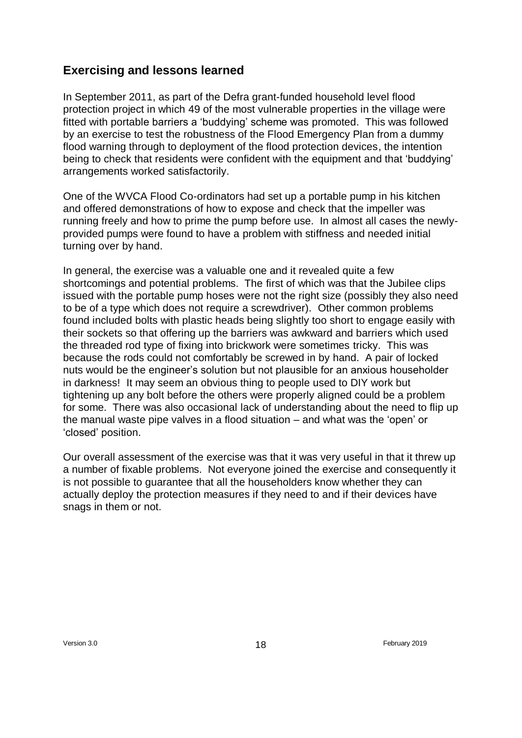# **Exercising and lessons learned**

In September 2011, as part of the Defra grant-funded household level flood protection project in which 49 of the most vulnerable properties in the village were fitted with portable barriers a 'buddying' scheme was promoted. This was followed by an exercise to test the robustness of the Flood Emergency Plan from a dummy flood warning through to deployment of the flood protection devices, the intention being to check that residents were confident with the equipment and that 'buddying' arrangements worked satisfactorily.

One of the WVCA Flood Co-ordinators had set up a portable pump in his kitchen and offered demonstrations of how to expose and check that the impeller was running freely and how to prime the pump before use. In almost all cases the newlyprovided pumps were found to have a problem with stiffness and needed initial turning over by hand.

In general, the exercise was a valuable one and it revealed quite a few shortcomings and potential problems. The first of which was that the Jubilee clips issued with the portable pump hoses were not the right size (possibly they also need to be of a type which does not require a screwdriver). Other common problems found included bolts with plastic heads being slightly too short to engage easily with their sockets so that offering up the barriers was awkward and barriers which used the threaded rod type of fixing into brickwork were sometimes tricky. This was because the rods could not comfortably be screwed in by hand. A pair of locked nuts would be the engineer's solution but not plausible for an anxious householder in darkness! It may seem an obvious thing to people used to DIY work but tightening up any bolt before the others were properly aligned could be a problem for some. There was also occasional lack of understanding about the need to flip up the manual waste pipe valves in a flood situation – and what was the 'open' or 'closed' position.

Our overall assessment of the exercise was that it was very useful in that it threw up a number of fixable problems. Not everyone joined the exercise and consequently it is not possible to guarantee that all the householders know whether they can actually deploy the protection measures if they need to and if their devices have snags in them or not.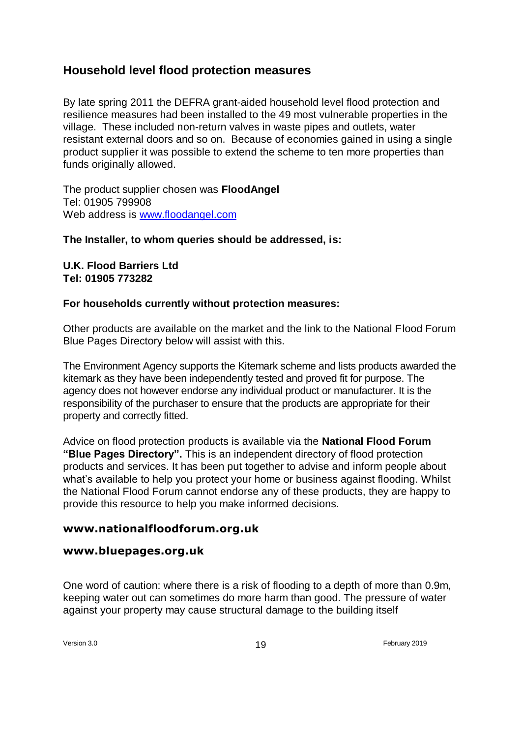# **Household level flood protection measures**

By late spring 2011 the DEFRA grant-aided household level flood protection and resilience measures had been installed to the 49 most vulnerable properties in the village. These included non-return valves in waste pipes and outlets, water resistant external doors and so on. Because of economies gained in using a single product supplier it was possible to extend the scheme to ten more properties than funds originally allowed.

The product supplier chosen was **FloodAngel** Tel: 01905 799908 Web address is [www.floodangel.com](http://www.floodangel.com/)

### **The Installer, to whom queries should be addressed, is:**

**U.K. Flood Barriers Ltd Tel: 01905 773282**

### **For households currently without protection measures:**

Other products are available on the market and the link to the National Flood Forum Blue Pages Directory below will assist with this.

The Environment Agency supports the Kitemark scheme and lists products awarded the kitemark as they have been independently tested and proved fit for purpose. The agency does not however endorse any individual product or manufacturer. It is the responsibility of the purchaser to ensure that the products are appropriate for their property and correctly fitted.

Advice on flood protection products is available via the **National Flood Forum "Blue Pages Directory".** This is an independent directory of flood protection products and services. It has been put together to advise and inform people about what's available to help you protect your home or business against flooding. Whilst the National Flood Forum cannot endorse any of these products, they are happy to provide this resource to help you make informed decisions.

### **www.nationalfloodforum.org.uk**

### **www.bluepages.org.uk**

One word of caution: where there is a risk of flooding to a depth of more than 0.9m, keeping water out can sometimes do more harm than good. The pressure of water against your property may cause structural damage to the building itself